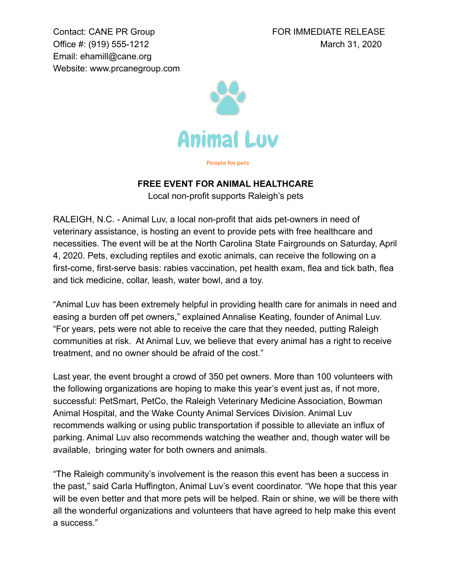Contact: CANE PR Group **FOR IMMEDIATE RELEASE** Office #: (919) 555-1212 March 31, 2020 Email: ehamill@cane.org Website: [www.prcanegroup.com](http://www.prcanegroup.com)



**People for pets** 

## **FREE EVENT FOR ANIMAL HEALTHCARE**

Local non-profit supports Raleigh's pets

RALEIGH, N.C. - Animal Luv, a local non-profit that aids pet-owners in need of veterinary assistance, is hosting an event to provide pets with free healthcare and necessities. The event will be at the North Carolina State Fairgrounds on Saturday, April 4, 2020. Pets, excluding reptiles and exotic animals, can receive the following on a first-come, first-serve basis: rabies vaccination, pet health exam, flea and tick bath, flea and tick medicine, collar, leash, water bowl, and a toy.

"Animal Luv has been extremely helpful in providing health care for animals in need and easing a burden off pet owners," explained Annalise Keating, founder of Animal Luv. "For years, pets were not able to receive the care that they needed, putting Raleigh communities at risk. At Animal Luv, we believe that every animal has a right to receive treatment, and no owner should be afraid of the cost."

Last year, the event brought a crowd of 350 pet owners. More than 100 volunteers with the following organizations are hoping to make this year's event just as, if not more, successful: PetSmart, PetCo, the Raleigh Veterinary Medicine Association, Bowman Animal Hospital, and the Wake County Animal Services Division. Animal Luv recommends walking or using public transportation if possible to alleviate an influx of parking. Animal Luv also recommends watching the weather and, though water will be available, bringing water for both owners and animals.

"The Raleigh community's involvement is the reason this event has been a success in the past," said Carla Huffington, Animal Luv's event coordinator. "We hope that this year will be even better and that more pets will be helped. Rain or shine, we will be there with all the wonderful organizations and volunteers that have agreed to help make this event a success."